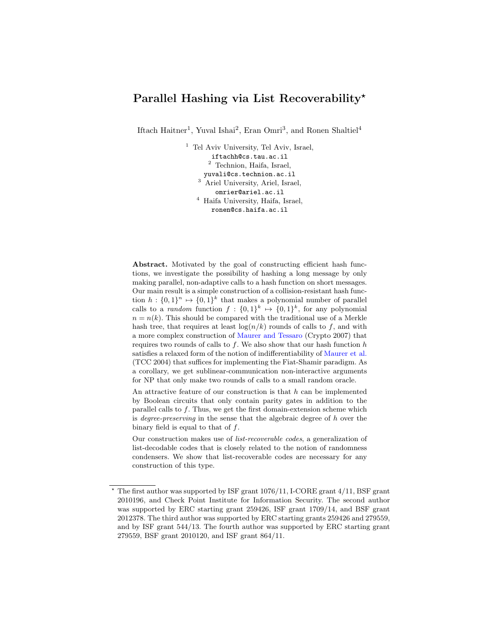# **Parallel Hashing via List Recoverability***<sup>⋆</sup>*

Iftach Haitner<sup>1</sup>, Yuval Ishai<sup>2</sup>, Eran Omri<sup>3</sup>, and Ronen Shaltiel<sup>4</sup>

<sup>1</sup> Tel Aviv University, Tel Aviv, Israel, iftachh@cs.tau.ac.il  $^{\rm 2}$  Technion, Haifa, Israel, yuvali@cs.technion.ac.il <sup>3</sup> Ariel University, Ariel, Israel, omrier@ariel.ac.il <sup>4</sup> Haifa University, Haifa, Israel, ronen@cs.haifa.ac.il

**Abstract.** Motivated by the goal of constructing efficient hash functions, we investigate the possibility of hashing a long message by only making parallel, non-adaptive calls to a hash function on short messages. Our main result is a simple construction of a collision-resistant hash function  $h: \{0,1\}^n \mapsto \{0,1\}^k$  that makes a polynomial number of parallel calls to a *random* function  $f: \{0,1\}^k \mapsto \{0,1\}^k$ , for any polynomial  $n = n(k)$ . This should be compared with the traditional use of a Merkle hash tree, that requires at least  $\log(n/k)$  rounds of calls to f, and with a more complex construction of Maurer and Tessaro (Crypto 2007) that requires two rounds of calls to *f*. We also show that our hash function *h* satisfies a relaxed form of the notion of indifferentiability of Maurer et al. (TCC 2004) that suffices for implementing the Fiat-Shamir paradigm. As a corollary, we get sublinear-communication non-interactive arguments for NP that only make two rounds of calls to a small random oracle.

An attractive feature of our construction is that *h* can be implemented by Boolean circuits that only contain parity gates in addition to the parallel calls to *f*. Thus, we get the first domain-extension scheme which is *degree-preserving* in the sense that the algebraic degree of *h* over the binary field is equal to that of *f*.

Our construction makes use of *list-recoverable codes*, a generalization of list-decodable codes that is closely related to the notion of randomness condensers. We show that list-recoverable codes are necessary for any construction of this type.

The first author was supported by ISF grant  $1076/11$ , I-CORE grant  $4/11$ , BSF grant 2010196, and Check Point Institute for Information Security. The second author was supported by ERC starting grant 259426, ISF grant 1709/14, and BSF grant 2012378. The third author was supported by ERC starting grants 259426 and 279559, and by ISF grant 544/13. The fourth author was supported by ERC starting grant 279559, BSF grant 2010120, and ISF grant 864/11.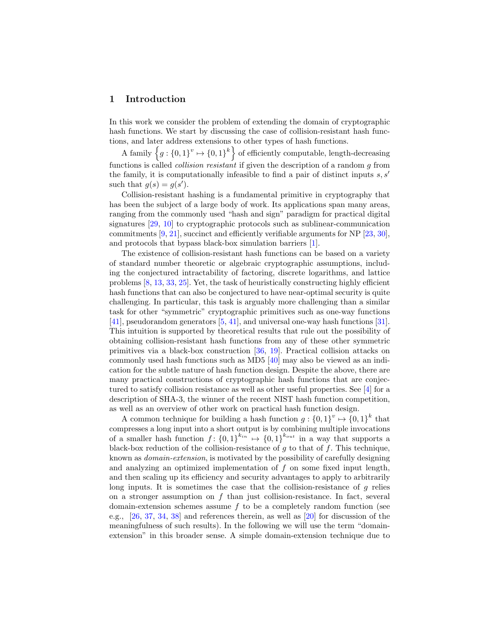### **1 Introduction**

In this work we consider the problem of extending the domain of cryptographic hash functions. We start by discussing the case of collision-resistant hash functions, and later address extensions to other types of hash functions.

A family  $\{g: \{0,1\}^v \mapsto \{0,1\}^k\}$  of efficiently computable, length-decreasing functions is called *collision resistant* if given the description of a random *g* from the family, it is computationally infeasible to find a pair of distinct inputs *s, s′* such that  $g(s) = g(s')$ .

Collision-resistant hashing is a fundamental primitive in cryptography that has been the subject of a large body of work. Its applications span many areas, ranging from the commonly used "hash and sign" paradigm for practical digital signatures [29, 10] to cryptographic protocols such as sublinear-communication commitments  $[9, 21]$ , succinct and efficiently verifiable arguments for NP  $[23, 30]$ , and protocols that bypass black-box simulation barriers [1].

The existence of collision-resistant hash functions can be based on a variety of standard number theoretic or algebraic cryptographic assumptions, including the conjectured intractability of factoring, discrete logarithms, and lattice problems [8, 13, 33, 25]. Yet, the task of heuristically constructing highly efficient hash functions that can also be conjectured to have near-optimal security is quite challenging. In particular, this task is arguably more challenging than a similar task for other "symmetric" cryptographic primitives such as one-way functions [41], pseudorandom generators [5, 41], and universal one-way hash functions [31]. This intuition is supported by theoretical results that rule out the possibility of obtaining collision-resistant hash functions from any of these other symmetric primitives via a black-box construction [36, 19]. Practical collision attacks on commonly used hash functions such as MD5 [40] may also be viewed as an indication for the subtle nature of hash function design. Despite the above, there are many practical constructions of cryptographic hash functions that are conjectured to satisfy collision resistance as well as other useful properties. See [4] for a description of SHA-3, the winner of the recent NIST hash function competition, as well as an overview of other work on practical hash function design.

A common technique for building a hash function  $g: \{0,1\}^v \mapsto \{0,1\}^k$  that compresses a long input into a short output is by combining multiple invocations of a smaller hash function  $f: \{0,1\}^{k_{in}} \mapsto \{0,1\}^{k_{out}}$  in a way that supports a black-box reduction of the collision-resistance of *g* to that of *f*. This technique, known as *domain-extension*, is motivated by the possibility of carefully designing and analyzing an optimized implementation of *f* on some fixed input length, and then scaling up its efficiency and security advantages to apply to arbitrarily long inputs. It is sometimes the case that the collision-resistance of *g* relies on a stronger assumption on *f* than just collision-resistance. In fact, several domain-extension schemes assume *f* to be a completely random function (see e.g., [26, 37, 34, 38] and references therein, as well as [20] for discussion of the meaningfulness of such results). In the following we will use the term "domainextension" in this broader sense. A simple domain-extension technique due to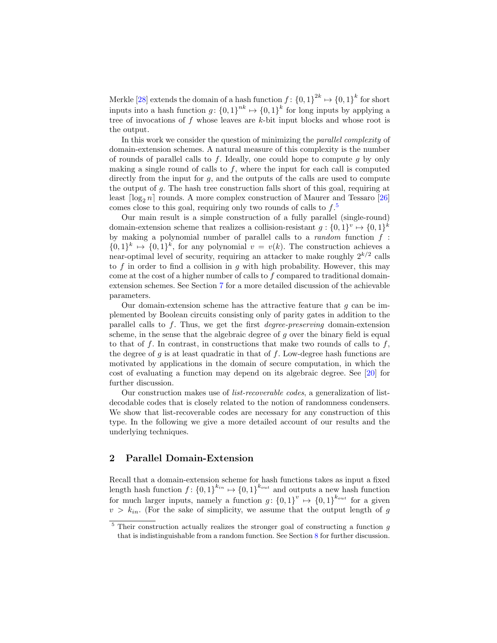Merkle  $[28]$  extends the domain of a hash function  $f: \{0,1\}^{2k} \mapsto \{0,1\}^k$  for short inputs into a hash function  $g: \{0,1\}^{nk} \mapsto \{0,1\}^k$  for long inputs by applying a tree of invocations of *f* whose leaves are *k*-bit input blocks and whose root is the output.

In this work we consider the question of minimizing the *parallel complexity* of domain-extension schemes. A natural measure of this complexity is the number of rounds of parallel calls to *f*. Ideally, one could hope to compute *g* by only making a single round of calls to *f*, where the input for each call is computed directly from the input for  $g$ , and the outputs of the calls are used to compute the output of *g*. The hash tree construction falls short of this goal, requiring at least  $\lceil \log_2 n \rceil$  rounds. A more complex construction of Maurer and Tessaro  $\lceil 26 \rceil$ comes close to this goal, requiring only two rounds of calls to *f*. 5

Our main result is a simple construction of a fully parallel (single-round) domain-extension scheme that realizes a collision-resistant  $g: \{0,1\}^v \mapsto \{0,1\}^k$ by making a polynomial number of parallel calls to a *random* function *f* :  $\{0,1\}^k \mapsto \{0,1\}^k$ , for any polynomial  $v = v(k)$ . The construction achieves a near-optimal level of security, requiring an attacker to make roughly 2*k/*<sup>2</sup> calls to *f* in order to find a collision in *g* with high probability. However, this may come at the cost of a higher number of calls to *f* compared to traditional domainextension schemes. See Section 7 for a more detailed discussion of the achievable parameters.

Our domain-extension scheme has the attractive feature that *g* can be implemented by Boolean circuits consisting only of parity gates in addition to the parallel calls to *f*. Thus, we get the first *degree-preserving* domain-extension scheme, in the sense that the algebraic degree of *g* over the binary field is equal to that of *f*. In contrast, in constructions that make two rounds of calls to *f*, the degree of *g* is at least quadratic in that of *f*. Low-degree hash functions are motivated by applications in the domain of secure computation, in which the cost of evaluating a function may depend on its algebraic degree. See [20] for further discussion.

Our construction makes use of *list-recoverable codes*, a generalization of listdecodable codes that is closely related to the notion of randomness condensers. We show that list-recoverable codes are necessary for any construction of this type. In the following we give a more detailed account of our results and the underlying techniques.

### **2 Parallel Domain-Extension**

Recall that a domain-extension scheme for hash functions takes as input a fixed length hash function  $f: \{0,1\}^{k_{in}} \mapsto \{0,1\}^{k_{out}}$  and outputs a new hash function for much larger inputs, namely a function  $g: \{0,1\}^{v} \mapsto \{0,1\}^{k_{out}}$  for a given  $v > k_{in}$ . (For the sake of simplicity, we assume that the output length of *g* 

<sup>5</sup> Their construction actually realizes the stronger goal of constructing a function *g* that is indistinguishable from a random function. See Section 8 for further discussion.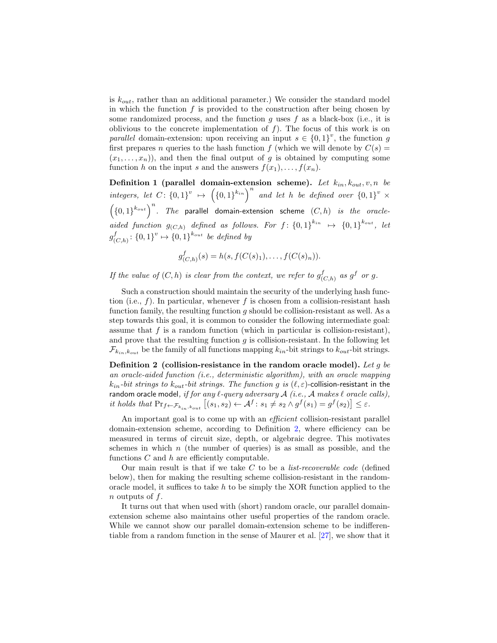is *kout*, rather than an additional parameter.) We consider the standard model in which the function *f* is provided to the construction after being chosen by some randomized process, and the function *g* uses *f* as a black-box (i.e., it is oblivious to the concrete implementation of  $f$ ). The focus of this work is on *parallel* domain-extension: upon receiving an input  $s \in \{0,1\}^v$ , the function *g* first prepares *n* queries to the hash function *f* (which we will denote by  $C(s)$ )  $(x_1, \ldots, x_n)$ , and then the final output of *g* is obtained by computing some function *h* on the input *s* and the answers  $f(x_1), \ldots, f(x_n)$ .

**Definition 1** (parallel domain-extension scheme). Let  $k_{in}$ ,  $k_{out}$ ,  $v$ ,  $n$  be integers, let  $C: \{0,1\}^v \mapsto (\{0,1\}^{k_{in}})^n$  and let h be defined over  $\{0,1\}^v \times$  $\left(\{0,1\}^{k_{out}}\right)^n$ . The parallel domain-extension scheme  $(C,h)$  *is the oracleaided function*  $g_{(C,h)}$  *defined as follows. For*  $f: \{0,1\}^{k_{in}} \rightarrow \{0,1\}^{k_{out}}$ , *let g f*  $(C_{(r,n)}^f: \{0,1\}^v \mapsto \{0,1\}^{k_{out}}$  *be defined by* 

$$
g_{(C,h)}^f(s) = h(s, f(C(s)_1), \dots, f(C(s)_n)).
$$

*If the value of*  $(C, h)$  *is clear from the context, we refer to*  $g_C^f$  $\int_{(C,h)}^f$  *as*  $g^f$  *or*  $g$ *.* 

Such a construction should maintain the security of the underlying hash function (i.e.,  $f$ ). In particular, whenever  $f$  is chosen from a collision-resistant hash function family, the resulting function *g* should be collision-resistant as well. As a step towards this goal, it is common to consider the following intermediate goal: assume that  $f$  is a random function (which in particular is collision-resistant), and prove that the resulting function *g* is collision-resistant. In the following let  $\mathcal{F}_{k_{in},k_{out}}$  be the family of all functions mapping  $k_{in}$ -bit strings to  $k_{out}$ -bit strings.

**Definition 2 (collision-resistance in the random oracle model).** *Let g be an oracle-aided function (i.e., deterministic algorithm), with an oracle mapping*  $k_{in}$ *-bit strings to*  $k_{out}$ *-bit strings. The function g is*  $(\ell, \varepsilon)$ -collision-resistant in the random oracle model*, if for any ℓ-query adversary A (i.e., A makes ℓ oracle calls),* it holds that  $\Pr_{f \leftarrow \mathcal{F}_{k_{in}, k_{out}}} [(s_1, s_2) \leftarrow \mathcal{A}^f : s_1 \neq s_2 \land g^f(s_1) = g^f(s_2)] \leq \varepsilon.$ 

An important goal is to come up with an *efficient* collision-resistant parallel domain-extension scheme, according to Definition 2, where efficiency can be measured in terms of circuit size, depth, or algebraic degree. This motivates schemes in which *n* (the number of queries) is as small as possible, and the functions *C* and *h* are efficiently computable.

Our main result is that if we take *C* to be a *list-recoverable code* (defined below), then for making the resulting scheme collision-resistant in the randomoracle model, it suffices to take *h* to be simply the XOR function applied to the *n* outputs of *f*.

It turns out that when used with (short) random oracle, our parallel domainextension scheme also maintains other useful properties of the random oracle. While we cannot show our parallel domain-extension scheme to be indifferentiable from a random function in the sense of Maurer et al. [27], we show that it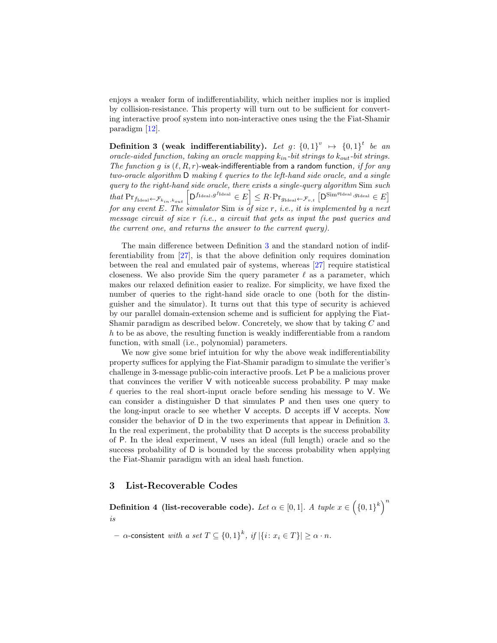enjoys a weaker form of indifferentiability, which neither implies nor is implied by collision-resistance. This property will turn out to be sufficient for converting interactive proof system into non-interactive ones using the the Fiat-Shamir paradigm [12].

 $\textbf{Definition 3 (weak indifferentiability)}$ . *Let*  $g: \{0,1\}^v \rightarrow \{0,1\}^t$  be an *oracle-aided function, taking an oracle mapping kin-bit strings to kout-bit strings. The function g is* (*ℓ, R, r*)-weak-indifferentiable from a random function*, if for any two-oracle algorithm* D *making ℓ queries to the left-hand side oracle, and a single query to the right-hand side oracle, there exists a single-query algorithm* Sim *such*  $\mathit{that}\ \Pr_{f_{\mathtt{Ideal}}\leftarrow \mathcal{F}_{k_{in},k_{out}}}\left[\mathsf{D}^{f_{\mathtt{Ideal}},g^{f_{\mathtt{Ideal}}}}\in E\right]\leq R\cdot\Pr_{g_{\mathtt{Ideal}}\leftarrow \mathcal{F}_{v,t}}\left[\mathsf{D}^{\mathsf{Sim}^{g_{\mathtt{Ideal}}},g_{\mathtt{Ideal}}}\in E\right]$ *for any event E. The simulator* Sim *is of size r, i.e., it is implemented by a next message circuit of size r (i.e., a circuit that gets as input the past queries and the current one, and returns the answer to the current query).*

The main difference between Definition 3 and the standard notion of indifferentiability from [27], is that the above definition only requires domination between the real and emulated pair of systems, whereas [27] require statistical closeness. We also provide Sim the query parameter *ℓ* as a parameter, which makes our relaxed definition easier to realize. For simplicity, we have fixed the number of queries to the right-hand side oracle to one (both for the distinguisher and the simulator). It turns out that this type of security is achieved by our parallel domain-extension scheme and is sufficient for applying the Fiat-Shamir paradigm as described below. Concretely, we show that by taking *C* and *h* to be as above, the resulting function is weakly indifferentiable from a random function, with small (i.e., polynomial) parameters.

We now give some brief intuition for why the above weak indifferentiability property suffices for applying the Fiat-Shamir paradigm to simulate the verifier's challenge in 3-message public-coin interactive proofs. Let P be a malicious prover that convinces the verifier V with noticeable success probability. P may make *ℓ* queries to the real short-input oracle before sending his message to V. We can consider a distinguisher D that simulates P and then uses one query to the long-input oracle to see whether V accepts. D accepts iff V accepts. Now consider the behavior of D in the two experiments that appear in Definition 3. In the real experiment, the probability that D accepts is the success probability of P. In the ideal experiment, V uses an ideal (full length) oracle and so the success probability of D is bounded by the success probability when applying the Fiat-Shamir paradigm with an ideal hash function.

### **3 List-Recoverable Codes**

**Definition 4** (list-recoverable code). *Let*  $\alpha \in [0,1]$ . *A tuple*  $x \in \left(\{0,1\}^k\right)^n$ *is*

 $-\alpha$ -consistent *with*  $a$   $set$   $T \subseteq \{0,1\}^k$ ,  $if$   $|\{i: x_i \in T\}| \geq \alpha \cdot n$ .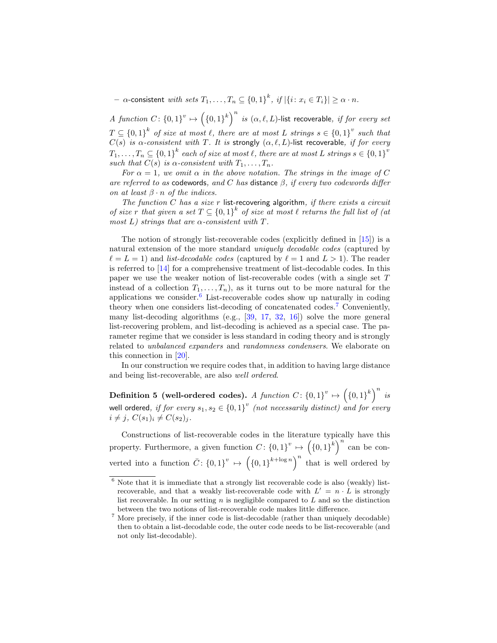$\alpha$ -consistent  $\textit{with sets } T_1,\ldots,T_n \subseteq \left\{0,1\right\}^k, \textit{ if } |\{i \colon x_i \in T_i\}| \geq \alpha \cdot n.$ 

*A function C*:  $\{0,1\}^{v} \mapsto (\{0,1\}^{k})^{n}$  *is*  $(\alpha,\ell,L)$ -list recoverable, *if for every set*  $T \subseteq \{0,1\}^k$  *of size at most*  $\ell$ *, there are at most*  $L$  *strings*  $s \in \{0,1\}^v$  *such that C*(*s*) *is*  $\alpha$ -*consistent with T. It is* strongly  $(\alpha, \ell, L)$ -list recoverable, *if for every*  $T_1, \ldots, T_n \subseteq \{0,1\}^k$  each of size at most  $\ell$ , there are at most  $L$  strings  $s \in \{0,1\}^v$ *such that*  $C(s)$  *is*  $\alpha$ -consistent with  $T_1, \ldots, T_n$ .

*For*  $\alpha = 1$ *, we omit*  $\alpha$  *in the above notation. The strings in the image of C are referred to as* codewords*, and C has* distance *β, if every two codewords differ on at least*  $\beta \cdot n$  *of the indices.* 

*The function C has a size r* list-recovering algorithm*, if there exists a circuit of size r that given a set*  $T \subseteq \{0,1\}^k$  *of size at most*  $\ell$  *returns the full list of (at most L) strings that are α-consistent with T.*

The notion of strongly list-recoverable codes (explicitly defined in [15]) is a natural extension of the more standard *uniquely decodable codes* (captured by  $\ell = L = 1$ ) and *list-decodable codes* (captured by  $\ell = 1$  and  $L > 1$ ). The reader is referred to [14] for a comprehensive treatment of list-decodable codes. In this paper we use the weaker notion of list-recoverable codes (with a single set *T* instead of a collection  $T_1, \ldots, T_n$ , as it turns out to be more natural for the applications we consider.<sup>6</sup> List-recoverable codes show up naturally in coding theory when one considers list-decoding of concatenated codes.<sup>7</sup> Conveniently, many list-decoding algorithms (e.g., [39, 17, 32, 16]) solve the more general list-recovering problem, and list-decoding is achieved as a special case. The parameter regime that we consider is less standard in coding theory and is strongly related to *unbalanced expanders* and *randomness condensers*. We elaborate on this connection in [20].

In our construction we require codes that, in addition to having large distance and being list-recoverable, are also *well ordered*.

 $\mathbf{Definition 5 (well-ordered codes).} \ \ A \ \ function \ C \colon \{0,1\}^v \mapsto \left(\{0,1\}^k\right)^n \ \ is$ well ordered*, if for every*  $s_1, s_2 \in \{0,1\}^v$  *(not necessarily distinct) and for every*  $i \neq j$ ,  $C(s_1)_i \neq C(s_2)_j$ .

Constructions of list-recoverable codes in the literature typically have this property. Furthermore, a given function  $C: \{0,1\}^v \mapsto (\{0,1\}^k)^n$  can be converted into a function  $\overline{C}$ :  $\{0,1\}^{v} \mapsto (\{0,1\}^{k+\log n})^{n}$  that is well ordered by

 $6$  Note that it is immediate that a strongly list recoverable code is also (weakly) listrecoverable, and that a weakly list-recoverable code with  $L' = n \cdot L$  is strongly list recoverable. In our setting *n* is negligible compared to *L* and so the distinction between the two notions of list-recoverable code makes little difference.

<sup>7</sup> More precisely, if the inner code is list-decodable (rather than uniquely decodable) then to obtain a list-decodable code, the outer code needs to be list-recoverable (and not only list-decodable).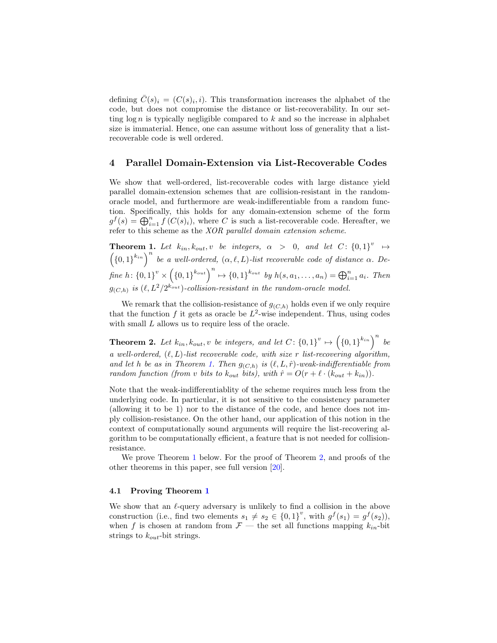defining  $\overline{C}(s)_i = (C(s)_i, i)$ . This transformation increases the alphabet of the code, but does not compromise the distance or list-recoverability. In our setting log *n* is typically negligible compared to *k* and so the increase in alphabet size is immaterial. Hence, one can assume without loss of generality that a listrecoverable code is well ordered.

### **4 Parallel Domain-Extension via List-Recoverable Codes**

We show that well-ordered, list-recoverable codes with large distance yield parallel domain-extension schemes that are collision-resistant in the randomoracle model, and furthermore are weak-indifferentiable from a random function. Specifically, this holds for any domain-extension scheme of the form  $g^f(s) = \bigoplus_{i=1}^n f(C(s)_i)$ , where *C* is such a list-recoverable code. Hereafter, we refer to this scheme as the *XOR parallel domain extension scheme*.

**Theorem 1.** Let  $k_{in}$ ,  $k_{out}$ , *v* be integers,  $\alpha > 0$ , and let  $C: \{0,1\}^v \rightarrow$  $\left(\{0,1\}^{k_{in}}\right)^n$  be a well-ordered,  $(\alpha, \ell, L)$ -list recoverable code of distance  $\alpha$ . Define  $h: \{0,1\}^{v} \times (\{0,1\}^{k_{out}})^{n} \mapsto \{0,1\}^{k_{out}}$  by  $h(s, a_1, \ldots, a_n) = \bigoplus_{i=1}^{n} a_i$ . Then  $g_{(C,h)}$  is  $(\ell, L^2/2^{k_{out}})$ -collision-resistant in the random-oracle model.

We remark that the collision-resistance of  $g_{(C,h)}$  holds even if we only require that the function  $f$  it gets as oracle be  $L^2$ -wise independent. Thus, using codes with small *L* allows us to require less of the oracle.

**Theorem 2.** Let  $k_{in}$ ,  $k_{out}$ ,  $v$  be integers, and let  $C: \{0,1\}^v \mapsto (\{0,1\}^{k_{in}})^n$  be *a well-ordered,* (*ℓ, L*)*-list recoverable code, with size r list-recovering algorithm, and let h be as in Theorem 1. Then*  $g_{(C,h)}$  *is*  $(\ell, L, \hat{r})$ *-weak-indifferentiable from random function (from <i>v bits to*  $k_{out}$  *bits), with*  $\hat{r} = O(r + \ell \cdot (k_{out} + k_{in}))$ .

Note that the weak-indifferentiablity of the scheme requires much less from the underlying code. In particular, it is not sensitive to the consistency parameter (allowing it to be 1) nor to the distance of the code, and hence does not imply collision-resistance. On the other hand, our application of this notion in the context of computationally sound arguments will require the list-recovering algorithm to be computationally efficient, a feature that is not needed for collisionresistance.

We prove Theorem 1 below. For the proof of Theorem 2, and proofs of the other theorems in this paper, see full version [20].

#### **4.1 Proving Theorem 1**

We show that an *ℓ*-query adversary is unlikely to find a collision in the above construction (i.e., find two elements  $s_1 \neq s_2 \in \{0,1\}^v$ , with  $g^f(s_1) = g^f(s_2)$ ), when *f* is chosen at random from  $\mathcal{F}$  — the set all functions mapping  $k_{in}$ -bit strings to *kout*-bit strings.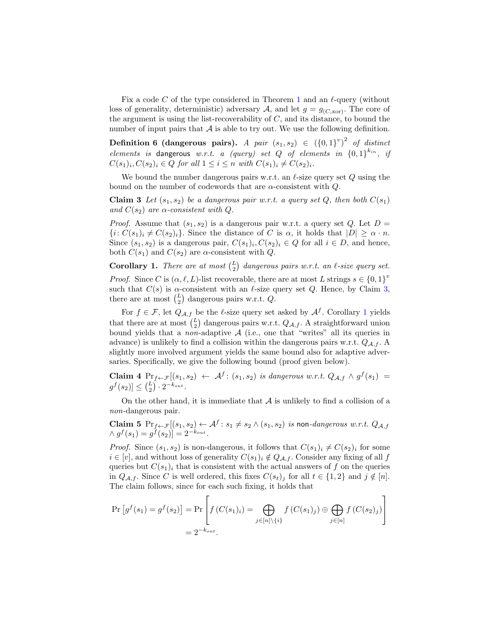Fix a code *C* of the type considered in Theorem 1 and an *ℓ*-query (without loss of generality, deterministic) adversary *A*, and let  $g = g_{(C, \text{xor})}$ . The core of the argument is using the list-recoverability of *C*, and its distance, to bound the number of input pairs that  $A$  is able to try out. We use the following definition.

**Definition 6** (dangerous pairs). *A pair*  $(s_1, s_2) \in (\{0, 1\}^v)^2$  of distinct *elements is* dangerous *w.r.t. a (query) set Q of elements in*  $\{0,1\}^{k_{in}}$ , *if*  $C(s_1)_i, C(s_2)_i \in Q$  for all  $1 \leq i \leq n$  with  $C(s_1)_i \neq C(s_2)_i$ .

We bound the number dangerous pairs w.r.t. an *ℓ*-size query set *Q* using the bound on the number of codewords that are *α*-consistent with *Q*.

**Claim 3** *Let*  $(s_1, s_2)$  *be a dangerous pair w.r.t. a query set*  $Q$ *, then both*  $C(s_1)$ *and*  $C(s_2)$  *are*  $\alpha$ -consistent with  $Q$ .

*Proof.* Assume that  $(s_1, s_2)$  is a dangerous pair w.r.t. a query set *Q*. Let  $D =$  $\{i: C(s_1)_i \neq C(s_2)_i\}$ . Since the distance of *C* is  $\alpha$ , it holds that  $|D| \geq \alpha \cdot n$ . Since  $(s_1, s_2)$  is a dangerous pair,  $C(s_1)_i, C(s_2)_i \in Q$  for all  $i \in D$ , and hence, both  $C(s_1)$  and  $C(s_2)$  are  $\alpha$ -consistent with  $Q$ .

**Corollary 1.** *There are at most*  $\binom{L}{2}$  *dangerous pairs w.r.t. an*  $\ell$ *-size query set. Proof.* Since *C* is  $(\alpha, \ell, L)$ -list recoverable, there are at most *L* strings  $s \in \{0, 1\}^v$ such that  $C(s)$  is  $\alpha$ -consistent with an  $\ell$ -size query set  $Q$ . Hence, by Claim 3, there are at most  $\binom{L}{2}$  dangerous pairs w.r.t. *Q*.

For  $f \in \mathcal{F}$ , let  $Q_{\mathcal{A},f}$  be the  $\ell$ -size query set asked by  $\mathcal{A}^f$ . Corollary 1 yields that there are at most  $\binom{L}{2}$  dangerous pairs w.r.t.  $Q_{A,f}$ . A straightforward union bound yields that a *non*-adaptive *A* (i.e., one that "writes" all its queries in advance) is unlikely to find a collision within the dangerous pairs w.r.t. *QA,f* . A slightly more involved argument yields the same bound also for adaptive adversaries. Specifically, we give the following bound (proof given below).

**Claim 4**  $Pr_{f \leftarrow \mathcal{F}}[(s_1, s_2) \leftarrow \mathcal{A}^f : (s_1, s_2)$  *is dangerous w.r.t.*  $Q_{\mathcal{A},f} \wedge g^f(s_1) =$  $g^f(s_2)$ ]  $\leq {L \choose 2} \cdot 2^{-k_{out}}$ .

On the other hand, it is immediate that *A* is unlikely to find a collision of a *non*-dangerous pair.

Claim 5  $Pr_{f \leftarrow \mathcal{F}}[(s_1, s_2) \leftarrow \mathcal{A}^f : s_1 \neq s_2 \land (s_1, s_2)$  *is* non-*dangerous w.r.t.*  $Q_{\mathcal{A},f}$  $\wedge g^f(s_1) = g^f(s_2) = 2^{-k_{out}}.$ 

*Proof.* Since  $(s_1, s_2)$  is non-dangerous, it follows that  $C(s_1)_i \neq C(s_2)_i$  for some  $i \in [v]$ , and without loss of generality  $C(s_1)_i \notin Q_{\mathcal{A},f}$ . Consider any fixing of all  $f$ queries but  $C(s_1)_i$  that is consistent with the actual answers of  $f$  on the queries in  $Q_{\mathcal{A},f}$ . Since *C* is well ordered, this fixes  $C(s_t)_j$  for all  $t \in \{1,2\}$  and  $j \notin [n]$ . The claim follows, since for each such fixing, it holds that

$$
\Pr\left[g^f(s_1) = g^f(s_2)\right] = \Pr\left[f(C(s_1)_i) = \bigoplus_{j \in [n] \setminus \{i\}} f(C(s_1)_j) \oplus \bigoplus_{j \in [n]} f(C(s_2)_j)\right]
$$
  
=  $2^{-k_{out}}$ .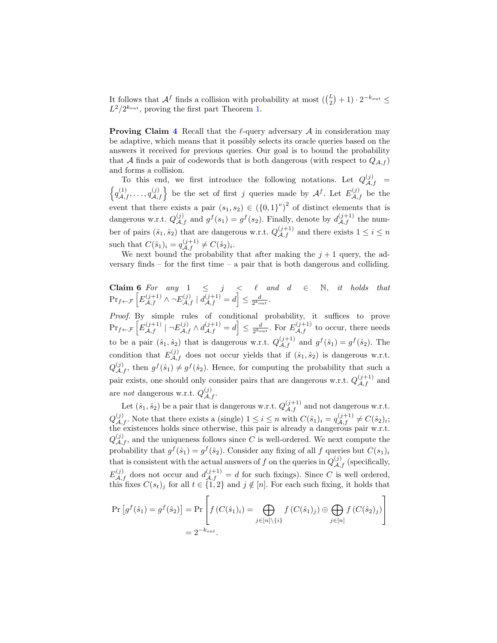It follows that  $\mathcal{A}^f$  finds a collision with probability at most  $(\binom{L}{2} + 1) \cdot 2^{-k_{out}} \leq$  $L^2/2^{k_{out}}$ , proving the first part Theorem 1.

**Proving Claim 4** Recall that the *ℓ*-query adversary *A* in consideration may be adaptive, which means that it possibly selects its oracle queries based on the answers it received for previous queries. Our goal is to bound the probability that *A* finds a pair of codewords that is both dangerous (with respect to  $Q_{A,f}$ ) and forms a collision.

To this end, we first introduce the following notations. Let  $Q_{\mathcal{A},f}^{(j)} = \int_{\mathcal{A}}^{(1)} (j) \int_{\mathcal{A}}$  be the set of first *i* success mode by  $A f$ , Let  $F^{(j)}$  be the  $q_{\mathcal{A},f}^{(1)}, \ldots, q_{\mathcal{A},f}^{(j)}$  be the set of first *j* queries made by  $\mathcal{A}^f$ . Let  $E_{\mathcal{A},f}^{(j)}$  be the event that there exists a pair  $(s_1, s_2) \in (\{0, 1\}^v)^2$  of distinct elements that is dangerous w.r.t.  $Q_{\mathcal{A},f}^{(j)}$  and  $g^f(s_1) = g^f(s_2)$ . Finally, denote by  $d_{\mathcal{A},f}^{(j+1)}$  the number of pairs  $(\hat{s}_1, \hat{s}_2)$  that are dangerous w.r.t.  $Q_{\mathcal{A},f}^{(j+1)}$  and there exists  $1 \leq i \leq n$ such that  $C(\hat{s}_1)_i = q_{\mathcal{A},f}^{(j+1)} \neq C(\hat{s}_2)_i$ .

We next bound the probability that after making the  $j+1$  query, the adversary finds – for the first time – a pair that is both dangerous and colliding.

**Claim 6** For any  $1 \leq j \leq \ell$  and  $d \in \mathbb{N}$ , it holds that  $\Pr_{f \leftarrow \mathcal{F}} \left[ E_{\mathcal{A},f}^{(j+1)} \wedge \neg E_{\mathcal{A},f}^{(j)} \mid d_{\mathcal{A},f}^{(j+1)} = d \right] \le \frac{d}{2^{k_{out}}}$ 

*Proof.* By simple rules of conditional probability, it suffices to prove  $\Pr_{f \leftarrow \mathcal{F}}\left[E_{\mathcal{A},f}^{(j+1)} \middle| \neg E_{\mathcal{A},f}^{(j)} \land d_{\mathcal{A},f}^{(j+1)} = d\right] \leq \frac{d}{2^{k_{out}}}$ . For  $E_{\mathcal{A},f}^{(j+1)}$  to occur, there needs to be a pair  $(\hat{s}_1, \hat{s}_2)$  that is dangerous w.r.t.  $Q_{\mathcal{A},f}^{(j+1)}$  and  $g^f(\hat{s}_1) = g^f(\hat{s}_2)$ . The condition that  $E_{\mathcal{A},f}^{(j)}$  does not occur yields that if  $(\hat{s}_1, \hat{s}_2)$  is dangerous w.r.t.  $Q_{\mathcal{A},f}^{(j)}$ , then  $g^f(\hat{s}_1) \neq g^f(\hat{s}_2)$ . Hence, for computing the probability that such a pair exists, one should only consider pairs that are dangerous w.r.t.  $Q_{\mathcal{A},f}^{(j+1)}$  and are *not* dangerous w.r.t.  $Q_{\mathcal{A},f}^{(j)}$ .

Let  $(\hat{s}_1, \hat{s}_2)$  be a pair that is dangerous w.r.t.  $Q_{\mathcal{A},f}^{(j+1)}$  and not dangerous w.r.t.  $Q_{\mathcal{A},f}^{(j)}$ . Note that there exists a (single)  $1 \leq i \leq n$  with  $C(\hat{s}_1)_i = q_{\mathcal{A},f}^{(j+1)} \neq C(\hat{s}_2)_i$ ; the existences holds since otherwise, this pair is already a dangerous pair w.r.t.  $Q_{\mathcal{A},f}^{(j)}$ , and the uniqueness follows since *C* is well-ordered. We next compute the probability that  $g^f(\hat{s}_1) = g^f(\hat{s}_2)$ . Consider any fixing of all *f* queries but  $C(s_1)_i$ that is consistent with the actual answers of *f* on the queries in  $Q_{\mathcal{A},f}^{(j)}$  (specifically,  $E^{(j)}_{A,f}$  does not occur and  $d^{(j+1)}_{A,f} = d$  for such fixings). Since *C* is well ordered, this fixes  $C(s_t)_j$  for all  $t \in \{1,2\}$  and  $j \notin [n]$ . For each such fixing, it holds that

$$
\Pr\left[g^f(\hat{s}_1) = g^f(\hat{s}_2)\right] = \Pr\left[f(C(\hat{s}_1)_i) = \bigoplus_{j \in [n] \setminus \{i\}} f(C(\hat{s}_1)_j) \oplus \bigoplus_{j \in [n]} f(C(\hat{s}_2)_j)\right]
$$
  
=  $2^{-k_{out}}$ .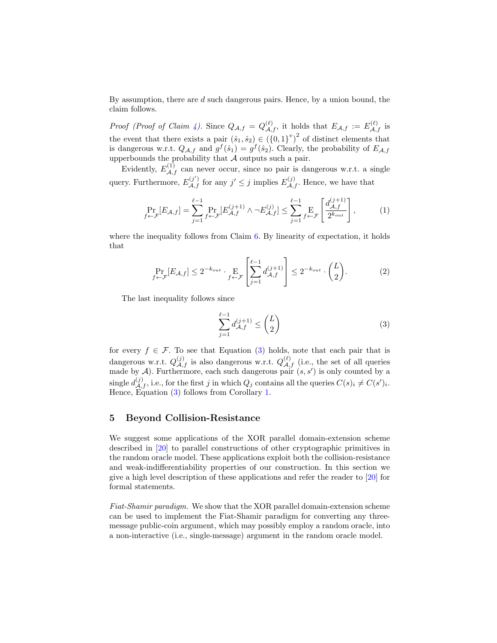By assumption, there are *d* such dangerous pairs. Hence, by a union bound, the claim follows.

*Proof (Proof of Claim 4)*. Since  $Q_{\mathcal{A},f} = Q_{\mathcal{A},f}^{(\ell)}$ , it holds that  $E_{\mathcal{A},f} := E_{\mathcal{A},f}^{(\ell)}$  is the event that there exists a pair  $(\hat{s}_1, \hat{s}_2) \in (\{0, 1\}^v)^2$  of distinct elements that is dangerous w.r.t.  $Q_{\mathcal{A},f}$  and  $g^f(\hat{s}_1) = g^f(\hat{s}_2)$ . Clearly, the probability of  $E_{\mathcal{A},f}$ upperbounds the probability that *A* outputs such a pair.

Evidently,  $E_{\mathcal{A},f}^{(1)}$  can never occur, since no pair is dangerous w.r.t. a single query. Furthermore,  $E_{\mathcal{A},f}^{(j')}$  for any  $j' \leq j$  implies  $E_{\mathcal{A},f}^{(j)}$ . Hence, we have that

$$
\Pr_{f \leftarrow \mathcal{F}}[E_{\mathcal{A},f}] = \sum_{j=1}^{\ell-1} \Pr_{f \leftarrow \mathcal{F}}[E_{\mathcal{A},f}^{(j+1)} \wedge \neg E_{\mathcal{A},f}^{(j)}] \le \sum_{j=1}^{\ell-1} \Pr_{f \leftarrow \mathcal{F}}\left[\frac{d_{\mathcal{A},f}^{(j+1)}}{2^{k_{out}}}\right],\tag{1}
$$

where the inequality follows from Claim  $6$ . By linearity of expectation, it holds that

$$
\Pr_{f \leftarrow \mathcal{F}}[E_{\mathcal{A},f}] \le 2^{-k_{out}} \cdot \Pr_{f \leftarrow \mathcal{F}}\left[\sum_{j=1}^{\ell-1} d_{\mathcal{A},f}^{(j+1)}\right] \le 2^{-k_{out}} \cdot \binom{L}{2}.\tag{2}
$$

The last inequality follows since

$$
\sum_{j=1}^{\ell-1} d_{\mathcal{A},f}^{(j+1)} \le \binom{L}{2} \tag{3}
$$

for every  $f \in \mathcal{F}$ . To see that Equation (3) holds, note that each pair that is dangerous w.r.t.  $Q_{\mathcal{A},f}^{(j)}$  is also dangerous w.r.t.  $Q_{\mathcal{A},f}^{(\ell)}$  (i.e., the set of all queries made by  $A$ ). Furthermore, each such dangerous pair  $(s, s')$  is only counted by a  $\frac{d^{(j)}}{d^{(j)}}$ , i.e., for the first *j* in which  $Q_j$  contains all the queries  $C(s)_i \neq C(s')_i$ . Hence, Equation (3) follows from Corollary 1.

### **5 Beyond Collision-Resistance**

We suggest some applications of the XOR parallel domain-extension scheme described in [20] to parallel constructions of other cryptographic primitives in the random oracle model. These applications exploit both the collision-resistance and weak-indifferentiability properties of our construction. In this section we give a high level description of these applications and refer the reader to [20] for formal statements.

*Fiat-Shamir paradigm.* We show that the XOR parallel domain-extension scheme can be used to implement the Fiat-Shamir paradigm for converting any threemessage public-coin argument, which may possibly employ a random oracle, into a non-interactive (i.e., single-message) argument in the random oracle model.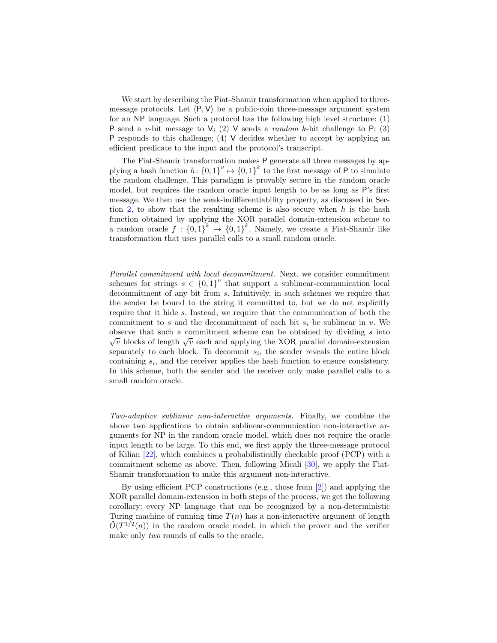We start by describing the Fiat-Shamir transformation when applied to threemessage protocols. Let  $\langle P, V \rangle$  be a public-coin three-message argument system for an NP language. Such a protocol has the following high level structure: (1) P send a *v*-bit message to V; (2) V sends a *random k*-bit challenge to P; (3) P responds to this challenge; (4)  $\vee$  decides whether to accept by applying an efficient predicate to the input and the protocol's transcript.

The Fiat-Shamir transformation makes P generate all three messages by applying a hash function  $h: \{0,1\}^v \mapsto \{0,1\}^k$  to the first message of P to simulate the random challenge. This paradigm is provably secure in the random oracle model, but requires the random oracle input length to be as long as P's first message. We then use the weak-indifferentiability property, as discussed in Section 2, to show that the resulting scheme is also secure when *h* is the hash function obtained by applying the XOR parallel domain-extension scheme to a random oracle  $f: \{0,1\}^k \to \{0,1\}^k$ . Namely, we create a Fiat-Shamir like transformation that uses parallel calls to a small random oracle.

*Parallel commitment with local decommitment.* Next, we consider commitment schemes for strings  $s \in \{0,1\}^v$  that support a sublinear-communication local decommitment of any bit from *s*. Intuitively, in such schemes we require that the sender be bound to the string it committed to, but we do not explicitly require that it hide *s*. Instead, we require that the communication of both the commitment to *s* and the decommitment of each bit  $s_i$  be sublinear in *v*. We observe that such a commitment scheme can be obtained by dividing *s* into *√ via*  $\overline{v}$  blocks of length  $\sqrt{v}$  each and applying the XOR parallel domain-extension separately to each block. To decommit  $s_i$ , the sender reveals the entire block containing *s<sup>i</sup>* , and the receiver applies the hash function to ensure consistency. In this scheme, both the sender and the receiver only make parallel calls to a small random oracle.

*Two-adaptive sublinear non-interactive arguments.* Finally, we combine the above two applications to obtain sublinear-communication non-interactive arguments for NP in the random oracle model, which does not require the oracle input length to be large. To this end, we first apply the three-message protocol of Kilian [22], which combines a probabilistically checkable proof (PCP) with a commitment scheme as above. Then, following Micali [30], we apply the Fiat-Shamir transformation to make this argument non-interactive.

By using efficient PCP constructions (e.g., those from [2]) and applying the XOR parallel domain-extension in both steps of the process, we get the following corollary: every NP language that can be recognized by a non-deterministic Turing machine of running time  $T(n)$  has a non-interactive argument of length  $\tilde{O}(T^{1/2}(n))$  in the random oracle model, in which the prover and the verifier make only *two* rounds of calls to the oracle.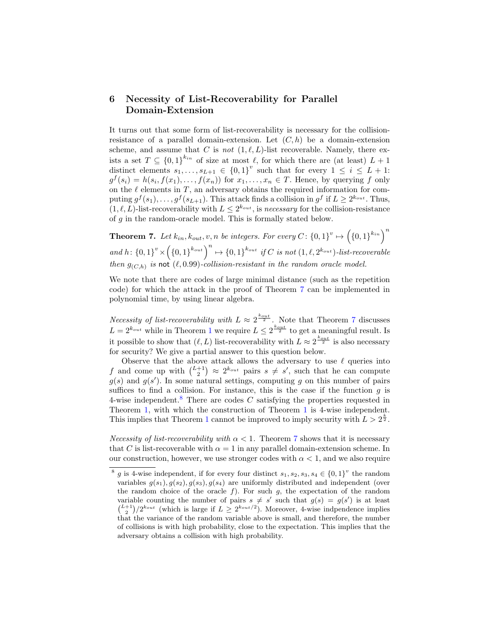### **6 Necessity of List-Recoverability for Parallel Domain-Extension**

It turns out that some form of list-recoverability is necessary for the collisionresistance of a parallel domain-extension. Let  $(C, h)$  be a domain-extension scheme, and assume that *C* is *not*  $(1, \ell, L)$ -list recoverable. Namely, there exists a set  $T \subseteq \{0,1\}^{k_{in}}$  of size at most  $\ell$ , for which there are (at least)  $L+1$ distinct elements  $s_1, \ldots, s_{L+1} \in \{0,1\}^v$  such that for every  $1 \leq i \leq L+1$ :  $g^f(s_i) = h(s_i, f(x_1), \ldots, f(x_n))$  for  $x_1, \ldots, x_n \in T$ . Hence, by querying *f* only on the  $\ell$  elements in  $T$ , an adversary obtains the required information for computing  $g^f(s_1), \ldots, g^f(s_{L+1})$ . This attack finds a collision in  $g^f$  if  $L \geq 2^{k_{out}}$ . Thus,  $(1, \ell, L)$ -list-recoverability with  $L \leq 2^{k_{out}}$ , is *necessary* for the collision-resistance of *g* in the random-oracle model. This is formally stated below.

**Theorem 7.** Let  $k_{in}$ ,  $k_{out}$ ,  $v$ ,  $n$  be integers. For every  $C: \{0,1\}^v \mapsto (\{0,1\}^{k_{in}})^n$ and  $h: \{0,1\}^{v} \times (\{0,1\}^{k_{out}})^n \mapsto \{0,1\}^{k_{out}}$  if C is not  $(1,\ell,2^{k_{out}})$ -list-recoverable *then*  $g_{(C,h)}$  *is* not  $(\ell, 0.99)$ *-collision-resistant in the random oracle model.* 

We note that there are codes of large minimal distance (such as the repetition code) for which the attack in the proof of Theorem 7 can be implemented in polynomial time, by using linear algebra.

*Necessity of list-recoverability with*  $L \approx 2^{\frac{k_{out}}{2}}$ . Note that Theorem 7 discusses  $L = 2^{k_{out}}$  while in Theorem 1 we require  $L \leq 2^{\frac{k_{out}}{2}}$  to get a meaningful result. Is it possible to show that  $(\ell, L)$  list-recoverability with  $L \approx 2^{\frac{k_{out}}{2}}$  is also necessary for security? We give a partial answer to this question below.

Observe that the above attack allows the adversary to use *ℓ* queries into *f* and come up with  $\binom{L+1}{2} \approx 2^{k_{out}}$  pairs  $s \neq s'$ , such that he can compute  $g(s)$  and  $g(s')$ . In some natural settings, computing *g* on this number of pairs suffices to find a collision. For instance, this is the case if the function  $g$  is 4-wise independent.<sup>8</sup> There are codes *C* satisfying the properties requested in Theorem 1, with which the construction of Theorem 1 is 4-wise independent. This implies that Theorem 1 cannot be improved to imply security with  $L > 2^{\frac{k}{2}}$ .

*Necessity of list-recoverability with*  $\alpha < 1$ . Theorem 7 shows that it is necessary that *C* is list-recoverable with  $\alpha = 1$  in any parallel domain-extension scheme. In our construction, however, we use stronger codes with  $\alpha < 1$ , and we also require

<sup>&</sup>lt;sup>8</sup> g is 4-wise independent, if for every four distinct  $s_1, s_2, s_3, s_4 \in \{0, 1\}^v$  the random variables  $g(s_1)$ ,  $g(s_2)$ ,  $g(s_3)$ ,  $g(s_4)$  are uniformly distributed and independent (over the random choice of the oracle *f*). For such *g*, the expectation of the random variable counting the number of pairs  $s \neq s'$  such that  $g(s) = g(s')$  is at least  $\binom{L+1}{2}/2^{k_{out}}$  (which is large if  $L \geq 2^{k_{out}/2}$ ). Moreover, 4-wise indpendence implies that the variance of the random variable above is small, and therefore, the number of collisions is with high probability, close to the expectation. This implies that the adversary obtains a collision with high probability.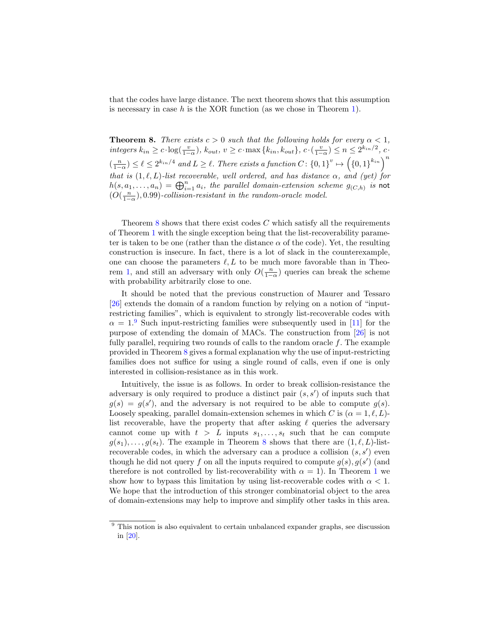that the codes have large distance. The next theorem shows that this assumption is necessary in case *h* is the XOR function (as we chose in Theorem 1).

**Theorem 8.** *There exists*  $c > 0$  *such that the following holds for every*  $\alpha < 1$ *,* integers  $k_{in} \ge c \cdot \log(\frac{v}{1-\alpha})$ ,  $k_{out}$ ,  $v \ge c \cdot \max\{k_{in}, k_{out}\}$ ,  $c \cdot (\frac{v}{1-\alpha}) \le n \le 2^{k_{in}/2}$ ,  $c \cdot$  $\binom{n}{1-\alpha} \leq \ell \leq 2^{k_{in}/4}$  and  $L \geq \ell$ . There exists a function  $C: \{0,1\}^{v} \mapsto (\{0,1\}^{k_{in}})^{m}$ *that is*  $(1, \ell, L)$ *-list recoverable, well ordered, and has distance*  $\alpha$ *, and (yet) for*  $h(s, a_1, \ldots, a_n) = \bigoplus_{i=1}^n a_i$ , the parallel domain-extension scheme  $g_{(C,h)}$  is not  $(O(\frac{n}{1-\alpha}), 0.99)$ -collision-resistant in the random-oracle model.

Theorem 8 shows that there exist codes *C* which satisfy all the requirements of Theorem 1 with the single exception being that the list-recoverability parameter is taken to be one (rather than the distance  $\alpha$  of the code). Yet, the resulting construction is insecure. In fact, there is a lot of slack in the counterexample, one can choose the parameters  $\ell, L$  to be much more favorable than in Theorem 1, and still an adversary with only  $O(\frac{n}{1-\alpha})$  queries can break the scheme with probability arbitrarily close to one.

It should be noted that the previous construction of Maurer and Tessaro [26] extends the domain of a random function by relying on a notion of "inputrestricting families", which is equivalent to strongly list-recoverable codes with  $\alpha = 1$ <sup>9</sup> Such input-restricting families were subsequently used in [11] for the purpose of extending the domain of MACs. The construction from [26] is not fully parallel, requiring two rounds of calls to the random oracle *f*. The example provided in Theorem 8 gives a formal explanation why the use of input-restricting families does not suffice for using a single round of calls, even if one is only interested in collision-resistance as in this work.

Intuitively, the issue is as follows. In order to break collision-resistance the adversary is only required to produce a distinct pair (*s, s′* ) of inputs such that  $g(s) = g(s')$ , and the adversary is not required to be able to compute  $g(s)$ . Loosely speaking, parallel domain-extension schemes in which *C* is  $(\alpha = 1, \ell, L)$ list recoverable, have the property that after asking *ℓ* queries the adversary cannot come up with  $t > L$  inputs  $s_1, \ldots, s_t$  such that he can compute  $g(s_1), \ldots, g(s_t)$ . The example in Theorem 8 shows that there are  $(1, \ell, L)$ -listrecoverable codes, in which the adversary can a produce a collision (*s, s′* ) even though he did not query *f* on all the inputs required to compute  $g(s)$ ,  $g(s')$  (and therefore is not controlled by list-recoverability with  $\alpha = 1$ ). In Theorem 1 we show how to bypass this limitation by using list-recoverable codes with  $\alpha < 1$ . We hope that the introduction of this stronger combinatorial object to the area of domain-extensions may help to improve and simplify other tasks in this area.

<sup>&</sup>lt;sup>9</sup> This notion is also equivalent to certain unbalanced expander graphs, see discussion in [20].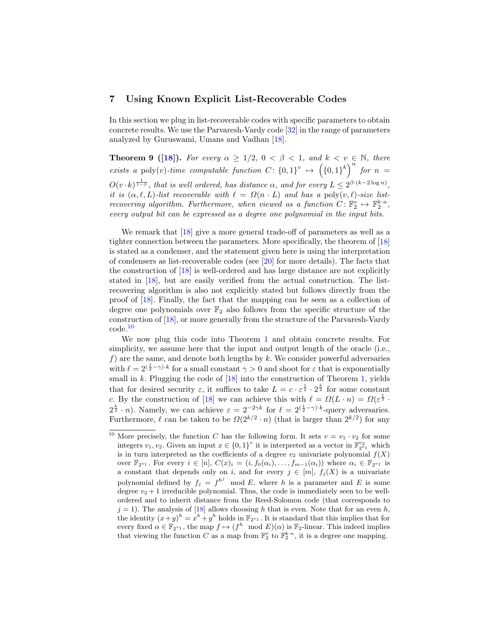### **7 Using Known Explicit List-Recoverable Codes**

In this section we plug in list-recoverable codes with specific parameters to obtain concrete results. We use the Parvaresh-Vardy code [32] in the range of parameters analyzed by Guruswami, Umans and Vadhan [18].

**Theorem 9** ([18]). For every  $\alpha \geq 1/2$ ,  $0 < \beta < 1$ , and  $k < v \in \mathbb{N}$ , there *exists a* poly(*v*)*-time computable function*  $C: \{0,1\}^v \mapsto (\{0,1\}^k)^n$  for  $n =$  $O(v \cdot k)^{\frac{1}{1-\beta}}$ , that is well ordered, has distance  $\alpha$ , and for every  $L \leq 2^{\beta \cdot (k-2\log n)}$ , *it is*  $(\alpha, \ell, L)$ *-list recoverable with*  $\ell = \Omega(n \cdot L)$  *and has a* poly $(v, \ell)$ *-size listrecovering algorithm. Furthermore, when viewed as a function*  $C: \mathbb{F}_2^v \to \mathbb{F}_2^{k \cdot n}$ , *every output bit can be expressed as a degree one polynomial in the input bits.*

We remark that [18] give a more general trade-off of parameters as well as a tighter connection between the parameters. More specifically, the theorem of [18] is stated as a condenser, and the statement given here is using the interpretation of condensers as list-recoverable codes (see [20] for more details). The facts that the construction of [18] is well-ordered and has large distance are not explicitly stated in [18], but are easily verified from the actual construction. The listrecovering algorithm is also not explicitly stated but follows directly from the proof of [18]. Finally, the fact that the mapping can be seen as a collection of degree one polynomials over  $\mathbb{F}_2$  also follows from the specific structure of the construction of [18], or more generally from the structure of the Parvaresh-Vardy code.<sup>10</sup>

We now plug this code into Theorem 1 and obtain concrete results. For simplicity, we assume here that the input and output length of the oracle (i.e., *f*) are the same, and denote both lengths by *k*. We consider powerful adversaries with  $\ell = 2^{\left(\frac{1}{2} - \gamma\right) \cdot k}$  for a small constant  $\gamma > 0$  and shoot for  $\varepsilon$  that is exponentially small in *k*. Plugging the code of [18] into the construction of Theorem 1, yields that for desired security  $\varepsilon$ , it suffices to take  $L = c \cdot \varepsilon^{\frac{1}{2}} \cdot 2^{\frac{k}{2}}$  for some constant *c*. By the construction of [18] we can achieve this with  $\ell = \Omega(L \cdot n) = \Omega(\varepsilon^{\frac{1}{2}} \cdot$  $2^{\frac{k}{2}} \cdot n$ . Namely, we can achieve  $\varepsilon = 2^{-2\gamma k}$  for  $\ell = 2^{(\frac{1}{2}-\gamma)\cdot k}$ -query adversaries. Furthermore,  $\ell$  can be taken to be  $\Omega(2^{k/2} \cdot n)$  (that is larger than  $2^{k/2}$ ) for any

<sup>&</sup>lt;sup>10</sup> More precisely, the function *C* has the following form. It sets  $v = v_1 \cdot v_2$  for some integers  $v_1, v_2$ . Given an input  $x \in \{0, 1\}^v$  it is interpreted as a vector in  $\mathbb{F}_{2^{v_1}}^{v_2}$  which is in turn interpreted as the coefficients of a degree  $v_2$  univariate polynomial  $f(X)$ over  $\mathbb{F}_{2^{v_1}}$ . For every  $i \in [n]$ ,  $C(x)_i = (i, f_0(\alpha_i), \ldots, f_{m-1}(\alpha_i))$  where  $\alpha_i \in \mathbb{F}_{2^{v_1}}$  is a constant that depends only on *i*, and for every  $j \in [m]$ ,  $f_j(X)$  is a univariate polynomial defined by  $f_j = f^{h^j} \mod E$ , where *h* is a parameter and *E* is some degree  $v_2 + 1$  irreducible polynomial. Thus, the code is immediately seen to be wellordered and to inherit distance from the Reed-Solomon code (that corresponds to  $j = 1$ ). The analysis of [18] allows choosing *h* that is even. Note that for an even *h*, the identity  $(x+y)^h = x^h + y^h$  holds in  $\mathbb{F}_{2^{v_1}}$ . It is standard that this implies that for every fixed  $\alpha \in \mathbb{F}_{2^{v_1}}$ , the map  $f \mapsto (f^h \mod E)(\alpha)$  is  $\mathbb{F}_2$ -linear. This indeed implies that viewing the function *C* as a map from  $\mathbb{F}_2^v$  to  $\mathbb{F}_2^{k \cdot n}$ , it is a degree one mapping.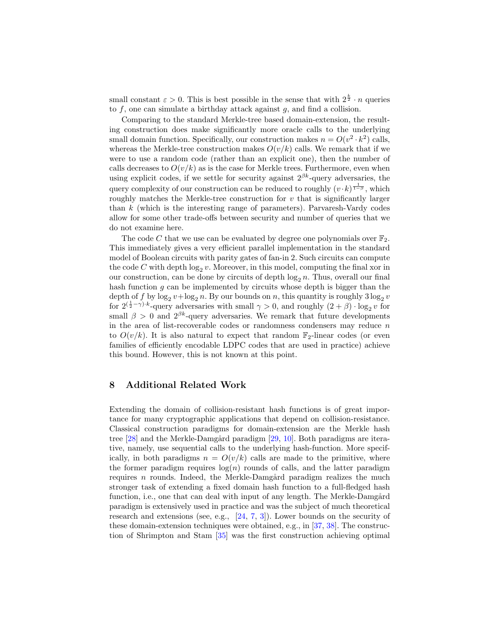small constant  $\varepsilon > 0$ . This is best possible in the sense that with  $2^{\frac{k}{2}} \cdot n$  queries to *f*, one can simulate a birthday attack against *g*, and find a collision.

Comparing to the standard Merkle-tree based domain-extension, the resulting construction does make significantly more oracle calls to the underlying small domain function. Specifically, our construction makes  $n = O(v^2 \cdot k^2)$  calls, whereas the Merkle-tree construction makes  $O(v/k)$  calls. We remark that if we were to use a random code (rather than an explicit one), then the number of calls decreases to  $O(v/k)$  as is the case for Merkle trees. Furthermore, even when using explicit codes, if we settle for security against  $2^{\beta k}$ -query adversaries, the query complexity of our construction can be reduced to roughly  $(v \cdot k)^{\frac{1}{1-\beta}}$ , which roughly matches the Merkle-tree construction for  $v$  that is significantly larger than *k* (which is the interesting range of parameters). Parvaresh-Vardy codes allow for some other trade-offs between security and number of queries that we do not examine here.

The code C that we use can be evaluated by degree one polynomials over  $\mathbb{F}_2$ . This immediately gives a very efficient parallel implementation in the standard model of Boolean circuits with parity gates of fan-in 2. Such circuits can compute the code  $C$  with depth  $log_2 v$ . Moreover, in this model, computing the final xor in our construction, can be done by circuits of depth  $\log_2 n$ . Thus, overall our final hash function *g* can be implemented by circuits whose depth is bigger than the depth of  $f$  by  $\log_2 v + \log_2 n$ . By our bounds on  $n$ , this quantity is roughly  $3\log_2 v$ for  $2(\frac{1}{2}-\gamma) \cdot k$ -query adversaries with small  $\gamma > 0$ , and roughly  $(2+\beta) \cdot \log_2 v$  for small  $\beta > 0$  and  $2^{\beta k}$ -query adversaries. We remark that future developments in the area of list-recoverable codes or randomness condensers may reduce *n* to  $O(v/k)$ . It is also natural to expect that random  $\mathbb{F}_2$ -linear codes (or even families of efficiently encodable LDPC codes that are used in practice) achieve this bound. However, this is not known at this point.

### **8 Additional Related Work**

Extending the domain of collision-resistant hash functions is of great importance for many cryptographic applications that depend on collision-resistance. Classical construction paradigms for domain-extension are the Merkle hash tree  $[28]$  and the Merkle-Damgård paradigm  $[29, 10]$ . Both paradigms are iterative, namely, use sequential calls to the underlying hash-function. More specifically, in both paradigms  $n = O(v/k)$  calls are made to the primitive, where the former paradigm requires  $log(n)$  rounds of calls, and the latter paradigm requires *n* rounds. Indeed, the Merkle-Damgård paradigm realizes the much stronger task of extending a fixed domain hash function to a full-fledged hash function, i.e., one that can deal with input of any length. The Merkle-Damgård paradigm is extensively used in practice and was the subject of much theoretical research and extensions (see, e.g.,  $[24, 7, 3]$ ). Lower bounds on the security of these domain-extension techniques were obtained, e.g., in [37, 38]. The construction of Shrimpton and Stam [35] was the first construction achieving optimal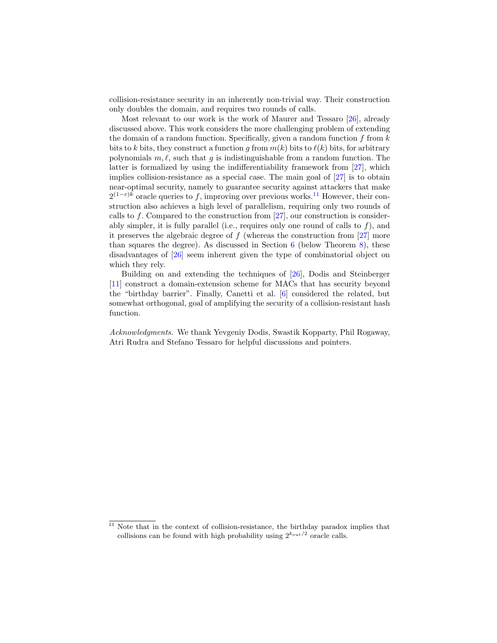collision-resistance security in an inherently non-trivial way. Their construction only doubles the domain, and requires two rounds of calls.

Most relevant to our work is the work of Maurer and Tessaro [26], already discussed above. This work considers the more challenging problem of extending the domain of a random function. Specifically, given a random function *f* from *k* bits to *k* bits, they construct a function *g* from  $m(k)$  bits to  $\ell(k)$  bits, for arbitrary polynomials *m, ℓ*, such that *g* is indistinguishable from a random function. The latter is formalized by using the indifferentiability framework from [27], which implies collision-resistance as a special case. The main goal of [27] is to obtain near-optimal security, namely to guarantee security against attackers that make 2<sup>(1–*ε*)*k*</sup> oracle queries to *f*, improving over previous works.<sup>11</sup> However, their construction also achieves a high level of parallelism, requiring only two rounds of calls to f. Compared to the construction from  $[27]$ , our construction is considerably simpler, it is fully parallel (i.e., requires only one round of calls to *f*), and it preserves the algebraic degree of  $f$  (whereas the construction from  $[27]$  more than squares the degree). As discussed in Section  $6$  (below Theorem 8), these disadvantages of [26] seem inherent given the type of combinatorial object on which they rely.

Building on and extending the techniques of [26], Dodis and Steinberger [11] construct a domain-extension scheme for MACs that has security beyond the "birthday barrier". Finally, Canetti et al. [6] considered the related, but somewhat orthogonal, goal of amplifying the security of a collision-resistant hash function.

*Acknowledgments.* We thank Yevgeniy Dodis, Swastik Kopparty, Phil Rogaway, Atri Rudra and Stefano Tessaro for helpful discussions and pointers.

 $11$  Note that in the context of collision-resistance, the birthday paradox implies that collisions can be found with high probability using  $2^{k_{out}/2}$  oracle calls.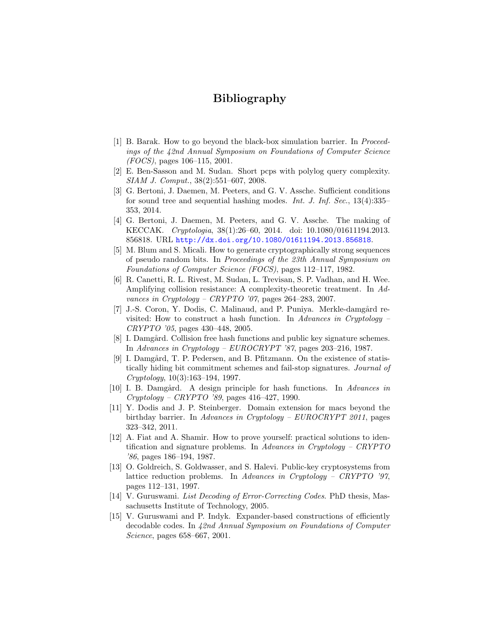## **Bibliography**

- [1] B. Barak. How to go beyond the black-box simulation barrier. In *Proceedings of the 42nd Annual Symposium on Foundations of Computer Science (FOCS)*, pages 106–115, 2001.
- [2] E. Ben-Sasson and M. Sudan. Short pcps with polylog query complexity. *SIAM J. Comput.*, 38(2):551–607, 2008.
- [3] G. Bertoni, J. Daemen, M. Peeters, and G. V. Assche. Sufficient conditions for sound tree and sequential hashing modes. *Int. J. Inf. Sec.*, 13(4):335– 353, 2014.
- [4] G. Bertoni, J. Daemen, M. Peeters, and G. V. Assche. The making of KECCAK. *Cryptologia*, 38(1):26–60, 2014. doi: 10.1080/01611194.2013. 856818. URL http://dx.doi.org/10.1080/01611194.2013.856818.
- [5] M. Blum and S. Micali. How to generate cryptographically strong sequences of pseudo random bits. In *Proceedings of the 23th Annual Symposium on Foundations of Computer Science (FOCS)*, pages 112–117, 1982.
- [6] R. Canetti, R. L. Rivest, M. Sudan, L. Trevisan, S. P. Vadhan, and H. Wee. Amplifying collision resistance: A complexity-theoretic treatment. In *Advances in Cryptology – CRYPTO '07*, pages 264–283, 2007.
- [7] J.-S. Coron, Y. Dodis, C. Malinaud, and P. Puniya. Merkle-damgård revisited: How to construct a hash function. In *Advances in Cryptology – CRYPTO '05*, pages 430–448, 2005.
- [8] I. Damgård. Collision free hash functions and public key signature schemes. In *Advances in Cryptology – EUROCRYPT '87*, pages 203–216, 1987.
- [9] I. Damgård, T. P. Pedersen, and B. Pfitzmann. On the existence of statistically hiding bit commitment schemes and fail-stop signatures. *Journal of Cryptology*, 10(3):163–194, 1997.
- [10] I. B. Damg˚ard. A design principle for hash functions. In *Advances in Cryptology – CRYPTO '89*, pages 416–427, 1990.
- [11] Y. Dodis and J. P. Steinberger. Domain extension for macs beyond the birthday barrier. In *Advances in Cryptology – EUROCRYPT 2011*, pages 323–342, 2011.
- [12] A. Fiat and A. Shamir. How to prove yourself: practical solutions to identification and signature problems. In *Advances in Cryptology – CRYPTO '86*, pages 186–194, 1987.
- [13] O. Goldreich, S. Goldwasser, and S. Halevi. Public-key cryptosystems from lattice reduction problems. In *Advances in Cryptology – CRYPTO '97*, pages 112–131, 1997.
- [14] V. Guruswami. *List Decoding of Error-Correcting Codes*. PhD thesis, Massachusetts Institute of Technology, 2005.
- [15] V. Guruswami and P. Indyk. Expander-based constructions of efficiently decodable codes. In *42nd Annual Symposium on Foundations of Computer Science*, pages 658–667, 2001.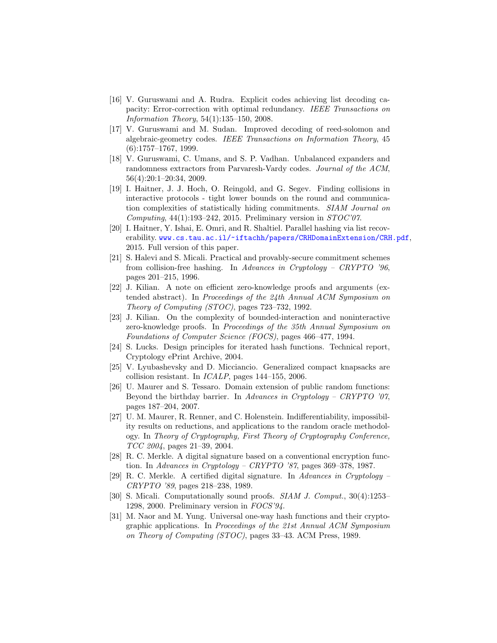- [16] V. Guruswami and A. Rudra. Explicit codes achieving list decoding capacity: Error-correction with optimal redundancy. *IEEE Transactions on Information Theory*, 54(1):135–150, 2008.
- [17] V. Guruswami and M. Sudan. Improved decoding of reed-solomon and algebraic-geometry codes. *IEEE Transactions on Information Theory*, 45 (6):1757–1767, 1999.
- [18] V. Guruswami, C. Umans, and S. P. Vadhan. Unbalanced expanders and randomness extractors from Parvaresh-Vardy codes. *Journal of the ACM*, 56(4):20:1–20:34, 2009.
- [19] I. Haitner, J. J. Hoch, O. Reingold, and G. Segev. Finding collisions in interactive protocols - tight lower bounds on the round and communication complexities of statistically hiding commitments. *SIAM Journal on Computing*, 44(1):193–242, 2015. Preliminary version in *STOC'07*.
- [20] I. Haitner, Y. Ishai, E. Omri, and R. Shaltiel. Parallel hashing via list recoverability. www.cs.tau.ac.il/~iftachh/papers/CRHDomainExtension/CRH.pdf, 2015. Full version of this paper.
- [21] S. Halevi and S. Micali. Practical and provably-secure commitment schemes from collision-free hashing. In *Advances in Cryptology – CRYPTO '96*, pages 201–215, 1996.
- [22] J. Kilian. A note on efficient zero-knowledge proofs and arguments (extended abstract). In *Proceedings of the 24th Annual ACM Symposium on Theory of Computing (STOC)*, pages 723–732, 1992.
- [23] J. Kilian. On the complexity of bounded-interaction and noninteractive zero-knowledge proofs. In *Proceedings of the 35th Annual Symposium on Foundations of Computer Science (FOCS)*, pages 466–477, 1994.
- [24] S. Lucks. Design principles for iterated hash functions. Technical report, Cryptology ePrint Archive, 2004.
- [25] V. Lyubashevsky and D. Micciancio. Generalized compact knapsacks are collision resistant. In *ICALP*, pages 144–155, 2006.
- [26] U. Maurer and S. Tessaro. Domain extension of public random functions: Beyond the birthday barrier. In *Advances in Cryptology – CRYPTO '07*, pages 187–204, 2007.
- [27] U. M. Maurer, R. Renner, and C. Holenstein. Indifferentiability, impossibility results on reductions, and applications to the random oracle methodology. In *Theory of Cryptography, First Theory of Cryptography Conference, TCC 2004*, pages 21–39, 2004.
- [28] R. C. Merkle. A digital signature based on a conventional encryption function. In *Advances in Cryptology – CRYPTO '87*, pages 369–378, 1987.
- [29] R. C. Merkle. A certified digital signature. In *Advances in Cryptology – CRYPTO '89*, pages 218–238, 1989.
- [30] S. Micali. Computationally sound proofs. *SIAM J. Comput.*, 30(4):1253– 1298, 2000. Preliminary version in *FOCS'94*.
- [31] M. Naor and M. Yung. Universal one-way hash functions and their cryptographic applications. In *Proceedings of the 21st Annual ACM Symposium on Theory of Computing (STOC)*, pages 33–43. ACM Press, 1989.